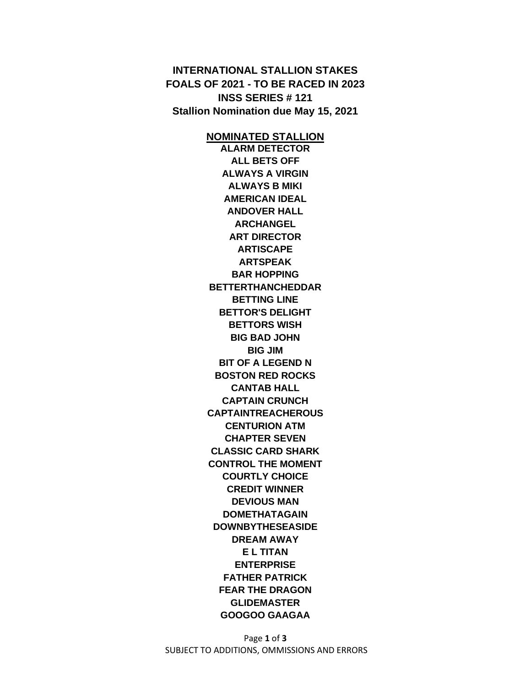**INTERNATIONAL STALLION STAKES FOALS OF 2021 - TO BE RACED IN 2023 INSS SERIES # 121 Stallion Nomination due May 15, 2021**

> **NOMINATED STALLION ALARM DETECTOR ALL BETS OFF ALWAYS A VIRGIN ALWAYS B MIKI AMERICAN IDEAL ANDOVER HALL ARCHANGEL ART DIRECTOR ARTISCAPE ARTSPEAK BAR HOPPING BETTERTHANCHEDDAR BETTING LINE BETTOR'S DELIGHT BETTORS WISH BIG BAD JOHN BIG JIM BIT OF A LEGEND N BOSTON RED ROCKS CANTAB HALL CAPTAIN CRUNCH CAPTAINTREACHEROUS CENTURION ATM CHAPTER SEVEN CLASSIC CARD SHARK CONTROL THE MOMENT COURTLY CHOICE CREDIT WINNER DEVIOUS MAN DOMETHATAGAIN DOWNBYTHESEASIDE DREAM AWAY E L TITAN ENTERPRISE FATHER PATRICK FEAR THE DRAGON GLIDEMASTER GOOGOO GAAGAA**

Page **1** of **3** SUBJECT TO ADDITIONS, OMMISSIONS AND ERRORS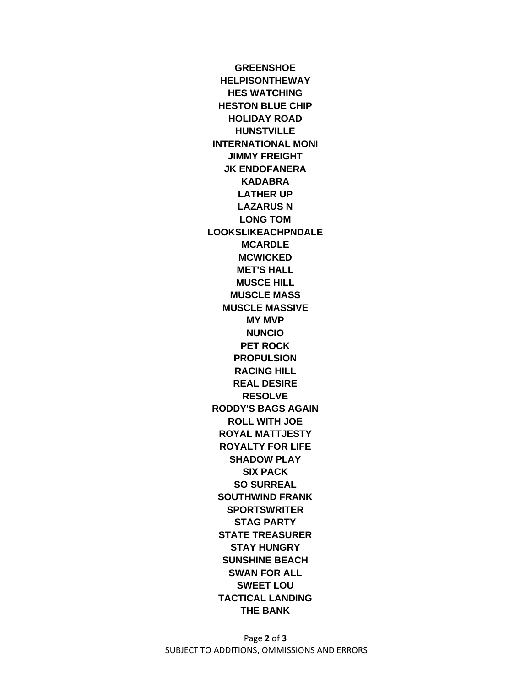**GREENSHOE HELPISONTHEWAY HES WATCHING HESTON BLUE CHIP HOLIDAY ROAD HUNSTVILLE INTERNATIONAL MONI JIMMY FREIGHT JK ENDOFANERA KADABRA LATHER UP LAZARUS N LONG TOM LOOKSLIKEACHPNDALE MCARDLE MCWICKED MET'S HALL MUSCE HILL MUSCLE MASS MUSCLE MASSIVE MY MVP NUNCIO PET ROCK PROPULSION RACING HILL REAL DESIRE RESOLVE RODDY'S BAGS AGAIN ROLL WITH JOE ROYAL MATTJESTY ROYALTY FOR LIFE SHADOW PLAY SIX PACK SO SURREAL SOUTHWIND FRANK SPORTSWRITER STAG PARTY STATE TREASURER STAY HUNGRY SUNSHINE BEACH SWAN FOR ALL SWEET LOU TACTICAL LANDING THE BANK**